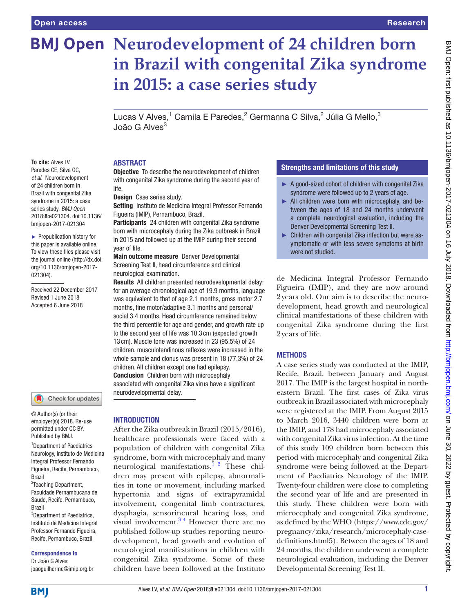**To cite:** Alves LV, Paredes CE, Silva GC, *et al*. Neurodevelopment of 24 children born in Brazil with congenital Zika syndrome in 2015: a case series study. *BMJ Open* 2018;8:e021304. doi:10.1136/ bmjopen-2017-021304 ► Prepublication history for this paper is available online. To view these files please visit the journal online [\(http://dx.doi.](http://dx.doi.org/10.1136/bmjopen-2017-021304) [org/10.1136/bmjopen-2017-](http://dx.doi.org/10.1136/bmjopen-2017-021304)

[021304\)](http://dx.doi.org/10.1136/bmjopen-2017-021304).

Received 22 December 2017 Revised 1 June 2018 Accepted 6 June 2018

# **BMJ Open Neurodevelopment of 24 children born in Brazil with congenital Zika syndrome in 2015: a case series study**

Lucas V Alves, $^1$  Camila E Paredes, $^2$  Germanna C Silva, $^2$  Júlia G Mello, $^3$ João G Alves<sup>3</sup>

#### **ABSTRACT**

**Objective** To describe the neurodevelopment of children with congenital Zika syndrome during the second year of life.

Design Case series study.

Setting Instituto de Medicina Integral Professor Fernando Figueira (IMIP), Pernambuco, Brazil.

Participants 24 children with congenital Zika syndrome born with microcephaly during the Zika outbreak in Brazil in 2015 and followed up at the IMIP during their second year of life.

Main outcome measure Denver Developmental Screening Test II, head circumference and clinical neurological examination.

Results All children presented neurodevelopmental delay: for an average chronological age of 19.9 months, language was equivalent to that of age 2.1 months, gross motor 2.7 months, fine motor/adaptive 3.1 months and personal/ social 3.4 months. Head circumference remained below the third percentile for age and gender, and growth rate up to the second year of life was 10.3 cm (expected growth 13 cm). Muscle tone was increased in 23 (95.5%) of 24 children, musculotendinous reflexes were increased in the whole sample and clonus was present in 18 (77.3%) of 24 children. All children except one had epilepsy. Conclusion Children born with microcephaly associated with congenital Zika virus have a significant neurodevelopmental delay.

Check for updates

© Author(s) (or their employer(s)) 2018. Re-use permitted under CC BY. Published by BMJ.

<sup>1</sup>Department of Paediatrics Neurology, Instituto de Medicina Integral Professor Fernando Figueira, Recife, Pernambuco, Brazil

<sup>2</sup>Teaching Department, Faculdade Pernambucana de Saude, Recife, Pernambuco, Brazil

<sup>3</sup>Department of Paediatrics, Instituto de Medicina Integral Professor Fernando Figueira, Recife, Pernambuco, Brazil

Correspondence to Dr João G Alves;

## joaoguilherme@imip.org.br

#### **INTRODUCTION**

After the Zika outbreak in Brazil (2015/2016), healthcare professionals were faced with a population of children with congenital Zika syndrome, born with microcephaly and many neurological manifestations.<sup>1</sup>  $\frac{2}{3}$  These children may present with epilepsy, abnormalities in tone or movement, including marked hypertonia and signs of extrapyramidal involvement, congenital limb contractures, dysphagia, sensorineural hearing loss, and visual involvement.<sup>34</sup> However there are no published follow-up studies reporting neurodevelopment, head growth and evolution of neurological manifestations in children with congenital Zika syndrome. Some of these children have been followed at the Instituto

#### Strengths and limitations of this study

- ► A good-sized cohort of children with congenital Zika syndrome were followed up to 2 years of age.
- ► All children were born with microcephaly, and between the ages of 18 and 24 months underwent a complete neurological evaluation, including the Denver Developmental Screening Test II.
- ► Children with congenital Zika infection but were asymptomatic or with less severe symptoms at birth were not studied.

de Medicina Integral Professor Fernando Figueira (IMIP), and they are now around 2years old. Our aim is to describe the neurodevelopment, head growth and neurological clinical manifestations of these children with congenital Zika syndrome during the first 2years of life.

#### **METHODS**

A case series study was conducted at the IMIP, Recife, Brazil, between January and August 2017. The IMIP is the largest hospital in northeastern Brazil. The first cases of Zika virus outbreak in Brazil associated with microcephaly were registered at the IMIP. From August 2015 to March 2016, 3440 children were born at the IMIP, and 178 had microcephaly associated with congenital Zika virus infection. At the time of this study 109 children born between this period with microcephaly and congenital Zika syndrome were being followed at the Department of Paediatrics Neurology of the IMIP. Twenty-four children were close to completing the second year of life and are presented in this study. These children were born with microcephaly and congenital Zika syndrome, as defined by the WHO [\(https://www.cdc.gov/](https://www.cdc.gov/pregnancy/zika/research/microcephaly-case-definitions.html5) [pregnancy/zika/research/microcephaly-case](https://www.cdc.gov/pregnancy/zika/research/microcephaly-case-definitions.html5)[definitions.html5](https://www.cdc.gov/pregnancy/zika/research/microcephaly-case-definitions.html5)). Between the ages of 18 and 24 months, the children underwent a complete neurological evaluation, including the Denver Developmental Screening Test II.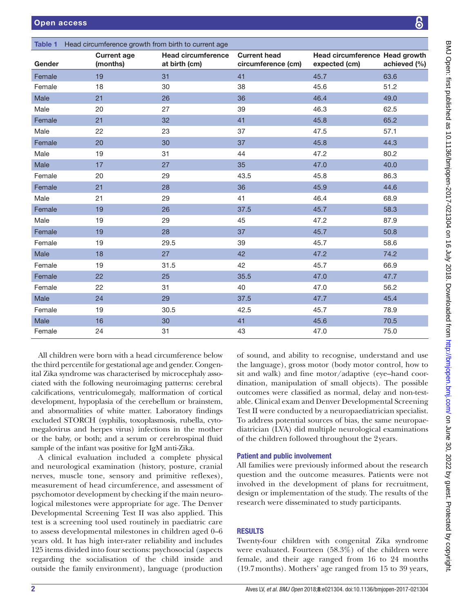<span id="page-1-0"></span>

|        | Table 1 Head circumference growth from birth to current age |                                            |                                           |                                                 |              |  |  |
|--------|-------------------------------------------------------------|--------------------------------------------|-------------------------------------------|-------------------------------------------------|--------------|--|--|
| Gender | <b>Current age</b><br>(months)                              | <b>Head circumference</b><br>at birth (cm) | <b>Current head</b><br>circumference (cm) | Head circumference Head growth<br>expected (cm) | achieved (%) |  |  |
| Female | 19                                                          | 31                                         | 41                                        | 45.7                                            | 63.6         |  |  |
| Female | 18                                                          | 30                                         | 38                                        | 45.6                                            | 51.2         |  |  |
| Male   | 21                                                          | 26                                         | 36                                        | 46.4                                            | 49.0         |  |  |
| Male   | 20                                                          | 27                                         | 39                                        | 46.3                                            | 62.5         |  |  |
| Female | 21                                                          | 32                                         | 41                                        | 45.8                                            | 65.2         |  |  |
| Male   | 22                                                          | 23                                         | 37                                        | 47.5                                            | 57.1         |  |  |
| Female | 20                                                          | 30                                         | 37                                        | 45.8                                            | 44.3         |  |  |
| Male   | 19                                                          | 31                                         | 44                                        | 47.2                                            | 80.2         |  |  |
| Male   | 17                                                          | 27                                         | 35                                        | 47.0                                            | 40.0         |  |  |
| Female | 20                                                          | 29                                         | 43.5                                      | 45.8                                            | 86.3         |  |  |
| Female | 21                                                          | 28                                         | 36                                        | 45.9                                            | 44.6         |  |  |
| Male   | 21                                                          | 29                                         | 41                                        | 46.4                                            | 68.9         |  |  |
| Female | 19                                                          | 26                                         | 37.5                                      | 45.7                                            | 58.3         |  |  |
| Male   | 19                                                          | 29                                         | 45                                        | 47.2                                            | 87.9         |  |  |
| Female | 19                                                          | 28                                         | 37                                        | 45.7                                            | 50.8         |  |  |
| Female | 19                                                          | 29.5                                       | 39                                        | 45.7                                            | 58.6         |  |  |
| Male   | 18                                                          | 27                                         | 42                                        | 47.2                                            | 74.2         |  |  |
| Female | 19                                                          | 31.5                                       | 42                                        | 45.7                                            | 66.9         |  |  |
| Female | 22                                                          | 25                                         | 35.5                                      | 47.0                                            | 47.7         |  |  |
| Female | 22                                                          | 31                                         | 40                                        | 47.0                                            | 56.2         |  |  |
| Male   | 24                                                          | 29                                         | 37.5                                      | 47.7                                            | 45.4         |  |  |
| Female | 19                                                          | 30.5                                       | 42.5                                      | 45.7                                            | 78.9         |  |  |
| Male   | 16                                                          | 30                                         | 41                                        | 45.6                                            | 70.5         |  |  |
| Female | 24                                                          | 31                                         | 43                                        | 47.0                                            | 75.0         |  |  |

All children were born with a head circumference below the third percentile for gestational age and gender. Congenital Zika syndrome was characterised by microcephaly associated with the following neuroimaging patterns: cerebral calcifications, ventriculomegaly, malformation of cortical development, hypoplasia of the cerebellum or brainstem, and abnormalities of white matter. Laboratory findings excluded STORCH (syphilis, toxoplasmosis, rubella, cytomegalovirus and herpes virus) infections in the mother or the baby, or both; and a serum or cerebrospinal fluid sample of the infant was positive for IgM anti-Zika.

A clinical evaluation included a complete physical and neurological examination (history, posture, cranial nerves, muscle tone, sensory and primitive reflexes), measurement of head circumference, and assessment of psychomotor development by checking if the main neurological milestones were appropriate for age. The Denver Developmental Screening Test II was also applied. This test is a screening tool used routinely in paediatric care to assess developmental milestones in children aged 0–6 years old. It has high inter-rater reliability and includes 125 items divided into four sections: psychosocial (aspects regarding the socialisation of the child inside and outside the family environment), language (production

of sound, and ability to recognise, understand and use the language), gross motor (body motor control, how to sit and walk) and fine motor/adaptive (eye–hand coordination, manipulation of small objects). The possible outcomes were classified as normal, delay and non-testable. Clinical exam and Denver Developmental Screening Test II were conducted by a neuropaediatrician specialist. To address potential sources of bias, the same neuropaediatrician (LVA) did multiple neurological examinations of the children followed throughout the 2years.

### Patient and public involvement

All families were previously informed about the research question and the outcome measures. Patients were not involved in the development of plans for recruitment, design or implementation of the study. The results of the research were disseminated to study participants.

### **RESULTS**

Twenty-four children with congenital Zika syndrome were evaluated. Fourteen (58.3%) of the children were female, and their age ranged from 16 to 24 months (19.7months). Mothers' age ranged from 15 to 39 years,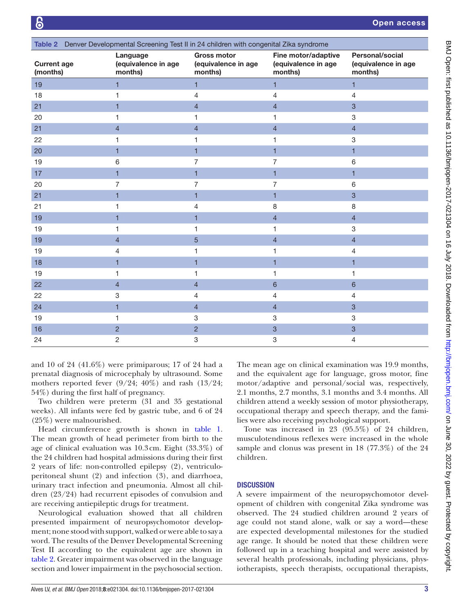<span id="page-2-0"></span>

| Table 2 Denver Developmental Screening Test II in 24 children with congenital Zika syndrome |                                            |                                                      |                                                       |                                                          |  |  |  |  |
|---------------------------------------------------------------------------------------------|--------------------------------------------|------------------------------------------------------|-------------------------------------------------------|----------------------------------------------------------|--|--|--|--|
| <b>Current age</b><br>(months)                                                              | Language<br>(equivalence in age<br>months) | <b>Gross motor</b><br>(equivalence in age<br>months) | Fine motor/adaptive<br>(equivalence in age<br>months) | <b>Personal/social</b><br>(equivalence in age<br>months) |  |  |  |  |
| 19                                                                                          | 1.                                         | $\mathbf{1}$                                         | $\mathbf{1}$                                          | $\mathbf{1}$                                             |  |  |  |  |
| 18                                                                                          |                                            | 4                                                    | 4                                                     | 4                                                        |  |  |  |  |
| 21                                                                                          | 1                                          | $\overline{4}$                                       | $\overline{4}$                                        | $\mathbf{3}$                                             |  |  |  |  |
| 20                                                                                          | 1                                          | 1                                                    | 1                                                     | 3                                                        |  |  |  |  |
| 21                                                                                          | $\overline{4}$                             | $\overline{4}$                                       | $\overline{4}$                                        | $\overline{4}$                                           |  |  |  |  |
| 22                                                                                          | 1                                          | 1                                                    | 1                                                     | $\ensuremath{\mathsf{3}}$                                |  |  |  |  |
| 20                                                                                          | 1                                          | $\mathbf{1}$                                         | $\blacksquare$                                        | 1                                                        |  |  |  |  |
| 19                                                                                          | 6                                          | $\overline{7}$                                       | 7                                                     | 6                                                        |  |  |  |  |
| 17                                                                                          | $\mathbf{1}$                               | $\mathbf{1}$                                         | 1                                                     | 1                                                        |  |  |  |  |
| 20                                                                                          | 7                                          | $\overline{7}$                                       | 7                                                     | 6                                                        |  |  |  |  |
| 21                                                                                          | 1                                          | $\overline{1}$                                       | 1                                                     | $\overline{3}$                                           |  |  |  |  |
| 21                                                                                          | 1                                          | 4                                                    | 8                                                     | 8                                                        |  |  |  |  |
| 19                                                                                          | 1                                          | 1                                                    | $\overline{4}$                                        | $\overline{4}$                                           |  |  |  |  |
| 19                                                                                          | 1                                          | 1                                                    | 1                                                     | 3                                                        |  |  |  |  |
| 19                                                                                          | $\overline{4}$                             | 5                                                    | $\overline{4}$                                        | $\overline{4}$                                           |  |  |  |  |
| 19                                                                                          | $\overline{4}$                             | 1                                                    | 1                                                     | $\overline{4}$                                           |  |  |  |  |
| 18                                                                                          | 1                                          | 1                                                    | 1                                                     | 1                                                        |  |  |  |  |
| 19                                                                                          | 1                                          | 1                                                    | 1                                                     | 1                                                        |  |  |  |  |
| 22                                                                                          | $\overline{4}$                             | $\overline{4}$                                       | $6\phantom{a}$                                        | $6\phantom{a}$                                           |  |  |  |  |
| 22                                                                                          | 3                                          | 4                                                    | 4                                                     | $\overline{4}$                                           |  |  |  |  |
| 24                                                                                          | 1                                          | $\overline{4}$                                       | $\overline{4}$                                        | $\overline{3}$                                           |  |  |  |  |
| 19                                                                                          | 1                                          | 3                                                    | $\ensuremath{\mathsf{3}}$                             | 3                                                        |  |  |  |  |
| 16                                                                                          | $\overline{2}$                             | $\overline{2}$                                       | $\ensuremath{\mathsf{3}}$                             | $\mathbf{3}$                                             |  |  |  |  |
| 24                                                                                          | $\overline{c}$                             | 3                                                    | 3                                                     | $\overline{4}$                                           |  |  |  |  |

and 10 of 24 (41.6%) were primiparous; 17 of 24 had a prenatal diagnosis of microcephaly by ultrasound. Some mothers reported fever (9/24; 40%) and rash (13/24; 54%) during the first half of pregnancy.

Two children were preterm (31 and 35 gestational weeks). All infants were fed by gastric tube, and 6 of 24 (25%) were malnourished.

Head circumference growth is shown in [table](#page-1-0) 1. The mean growth of head perimeter from birth to the age of clinical evaluation was 10.3cm. Eight (33.3%) of the 24 children had hospital admissions during their first 2 years of life: non-controlled epilepsy (2), ventriculoperitoneal shunt (2) and infection (3), and diarrhoea, urinary tract infection and pneumonia. Almost all children (23/24) had recurrent episodes of convulsion and are receiving antiepileptic drugs for treatment.

Neurological evaluation showed that all children presented impairment of neuropsychomotor development; none stood with support, walked or were able to say a word. The results of the Denver Developmental Screening Test II according to the equivalent age are shown in [table](#page-2-0) 2. Greater impairment was observed in the language section and lower impairment in the psychosocial section.

The mean age on clinical examination was 19.9 months, and the equivalent age for language, gross motor, fine motor/adaptive and personal/social was, respectively, 2.1 months, 2.7 months, 3.1 months and 3.4 months. All children attend a weekly session of motor physiotherapy, occupational therapy and speech therapy, and the families were also receiving psychological support.

Tone was increased in 23 (95.5%) of 24 children, musculotendinous reflexes were increased in the whole sample and clonus was present in 18 (77.3%) of the 24 children.

### **DISCUSSION**

A severe impairment of the neuropsychomotor development of children with congenital Zika syndrome was observed. The 24 studied children around 2 years of age could not stand alone, walk or say a word—these are expected developmental milestones for the studied age range. It should be noted that these children were followed up in a teaching hospital and were assisted by several health professionals, including physicians, physiotherapists, speech therapists, occupational therapists,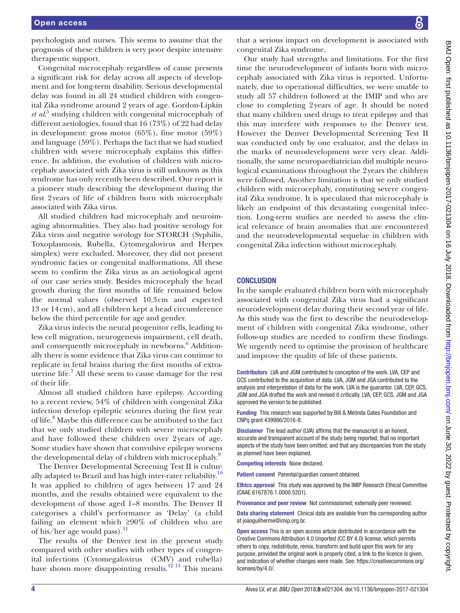psychologists and nurses. This seems to assume that the prognosis of these children is very poor despite intensive therapeutic support.

Congenital microcephaly regardless of cause presents a significant risk for delay across all aspects of development and for long-term disability. Serious developmental delay was found in all 24 studied children with congenital Zika syndrome around 2 years of age. Gordon-Lipkin *et al*, [5](#page-4-2) studying children with congenital microcephaly of different aetiologies, found that 16 (73%) of 22 had delay in development: gross motor (65%), fine motor (59%) and language (59%). Perhaps the fact that we had studied children with severe microcephaly explains this difference. In addition, the evolution of children with microcephaly associated with Zika virus is still unknown as this syndrome has only recently been described. Our report is a pioneer study describing the development during the first 2years of life of children born with microcephaly associated with Zika virus.

All studied children had microcephaly and neuroimaging abnormalities. They also had positive serology for Zika virus and negative sorology for STORCH (Syphilis, Toxoplasmosis, Rubella, Cytomegalovirus and Herpes simplex) were excluded. Moreover, they did not present syndromic facies or congenital malformations. All these seem to confirm the Zika virus as an aetiological agent of our case series study. Besides microcephaly the head growth during the first months of life remained below the normal values (observed 10.3cm and expected 13 or 14cm), and all children kept a head circumference below the third percentile for age and gender.

Zika virus infects the neural progenitor cells, leading to less cell migration, neurogenesis impairment, cell death, and consequently microcephaly in newborns.<sup>[6](#page-4-3)</sup> Additionally there is some evidence that Zika virus can continue to replicate in fetal brains during the first months of extra-uterine life.<sup>[7](#page-4-4)</sup> All these seem to cause damage for the rest of their life.

Almost all studied children have epilepsy. According to a recent review, 54% of children with congenital Zika infection develop epileptic seizures during the first year of life.<sup>[8](#page-4-5)</sup> Maybe this difference can be attributed to the fact that we only studied children with severe microcephaly and have followed these children over 2years of age. Some studies have shown that convulsive epilepsy worsens the developmental delay of children with microcephaly.<sup>9</sup>

The Denver Developmental Screening Test II is culturally adapted to Brazil and has high inter-rater reliability.<sup>10</sup> It was applied to children of ages between 17 and 24 months, and the results obtained were equivalent to the development of those aged 1–8 months. The Denver II categorises a child's performance as 'Delay' (a child failing an element which ≥90% of children who are of his/her age would pass).<sup>[11](#page-4-8)</sup>

The results of the Denver test in the present study compared with other studies with other types of congenital infections (Cytomegalovirus (CMV) and rubella) have shown more disappointing results.<sup>12 13</sup> This means

that a serious impact on development is associated with congenital Zika syndrome.

Our study had strengths and limitations. For the first time the neurodevelopment of infants born with microcephaly associated with Zika virus is reported. Unfortunately, due to operational difficulties, we were unable to study all 57 children followed at the IMIP and who are close to completing 2years of age. It should be noted that many children used drugs to treat epilepsy and that this may interfere with responses to the Denver test. However the Denver Developmental Screening Test II was conducted only by one evaluator, and the delays in the marks of neurodevelopment were very clear. Additionally, the same neuropaediatrician did multiple neurological examinations throughout the 2years the children were followed. Another limitation is that we only studied children with microcephaly, constituting severe congenital Zika syndrome. It is speculated that microcephaly is likely an endpoint of this devastating congenital infection. Long-term studies are needed to assess the clinical relevance of brain anomalies that are encountered and the neurodevelopmental sequelae in children with congenital Zika infection without microcephaly.

#### **CONCLUSION**

In the sample evaluated children born with microcephaly associated with congenital Zika virus had a significant neurodevelopment delay during their second year of life. As this study was the first to describe the neurodevelopment of children with congenital Zika syndrome, other follow-up studies are needed to confirm these findings. We urgently need to optimise the provision of healthcare and improve the quality of life of these patients.

Contributors LVA and JGM contributed to conception of the work. LVA, CEP and GCS contributed to the acquisition of data. LVA, JGM and JGA contributed to the analysis and interpretation of data for the work. LVA is the guarantor. LVA, CEP, GCS, JGM and JGA drafted the work and revised it critically. LVA, CEP, GCS, JGM and JGA approved the version to be published.

Funding This research was supported by Bill & Melinda Gates Foundation and CNPq grant 439986/2016-8.

Disclaimer The lead author (LVA) affirms that the manuscript is an honest, accurate and transparent account of the study being reported; that no important aspects of the study have been omitted; and that any discrepancies from the study as planned have been explained.

Competing interests None declared.

Patient consent Parental/guardian consent obtained.

Ethics approval This study was approved by the IMIP Research Ethical Committee (CAAE 6167876.1.0000.5201).

Provenance and peer review Not commissioned; externally peer reviewed.

Data sharing statement Clinical data are available from the corresponding author at joaoguilherme@imip.org.br.

Open access This is an open access article distributed in accordance with the Creative Commons Attribution 4.0 Unported (CC BY 4.0) license, which permits others to copy, redistribute, remix, transform and build upon this work for any purpose, provided the original work is properly cited, a link to the licence is given, and indication of whether changes were made. See: [https://creativecommons.org/](https://creativecommons.org/licenses/by/4.0/) [licenses/by/4.0/](https://creativecommons.org/licenses/by/4.0/).